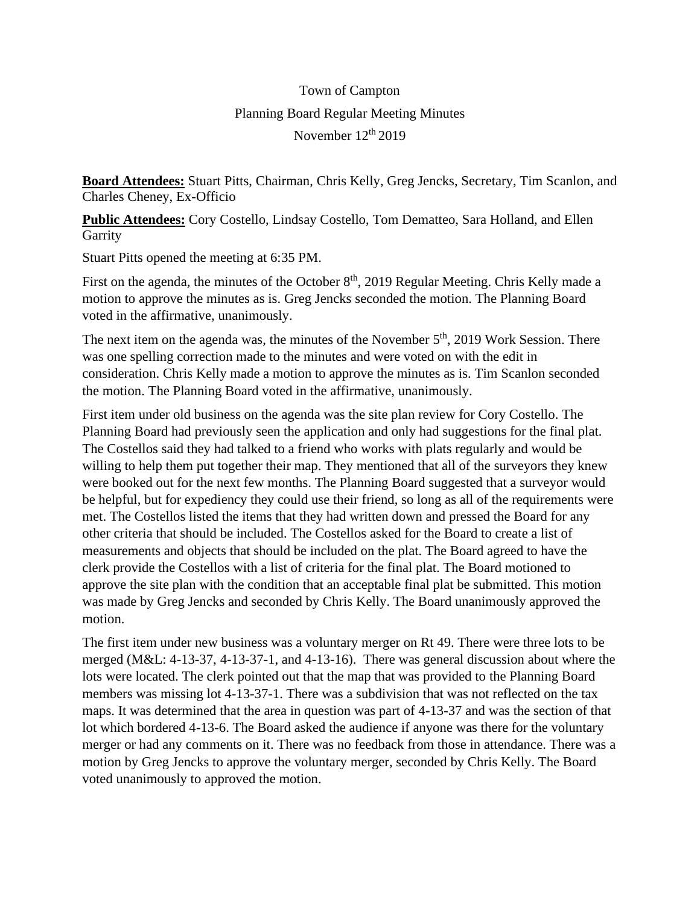## Town of Campton Planning Board Regular Meeting Minutes November  $12<sup>th</sup> 2019$

**Board Attendees:** Stuart Pitts, Chairman, Chris Kelly, Greg Jencks, Secretary, Tim Scanlon, and Charles Cheney, Ex-Officio

**Public Attendees:** Cory Costello, Lindsay Costello, Tom Dematteo, Sara Holland, and Ellen **Garrity** 

Stuart Pitts opened the meeting at 6:35 PM.

First on the agenda, the minutes of the October 8<sup>th</sup>, 2019 Regular Meeting. Chris Kelly made a motion to approve the minutes as is. Greg Jencks seconded the motion. The Planning Board voted in the affirmative, unanimously.

The next item on the agenda was, the minutes of the November 5<sup>th</sup>, 2019 Work Session. There was one spelling correction made to the minutes and were voted on with the edit in consideration. Chris Kelly made a motion to approve the minutes as is. Tim Scanlon seconded the motion. The Planning Board voted in the affirmative, unanimously.

First item under old business on the agenda was the site plan review for Cory Costello. The Planning Board had previously seen the application and only had suggestions for the final plat. The Costellos said they had talked to a friend who works with plats regularly and would be willing to help them put together their map. They mentioned that all of the surveyors they knew were booked out for the next few months. The Planning Board suggested that a surveyor would be helpful, but for expediency they could use their friend, so long as all of the requirements were met. The Costellos listed the items that they had written down and pressed the Board for any other criteria that should be included. The Costellos asked for the Board to create a list of measurements and objects that should be included on the plat. The Board agreed to have the clerk provide the Costellos with a list of criteria for the final plat. The Board motioned to approve the site plan with the condition that an acceptable final plat be submitted. This motion was made by Greg Jencks and seconded by Chris Kelly. The Board unanimously approved the motion.

The first item under new business was a voluntary merger on Rt 49. There were three lots to be merged (M&L: 4-13-37, 4-13-37-1, and 4-13-16). There was general discussion about where the lots were located. The clerk pointed out that the map that was provided to the Planning Board members was missing lot 4-13-37-1. There was a subdivision that was not reflected on the tax maps. It was determined that the area in question was part of 4-13-37 and was the section of that lot which bordered 4-13-6. The Board asked the audience if anyone was there for the voluntary merger or had any comments on it. There was no feedback from those in attendance. There was a motion by Greg Jencks to approve the voluntary merger, seconded by Chris Kelly. The Board voted unanimously to approved the motion.